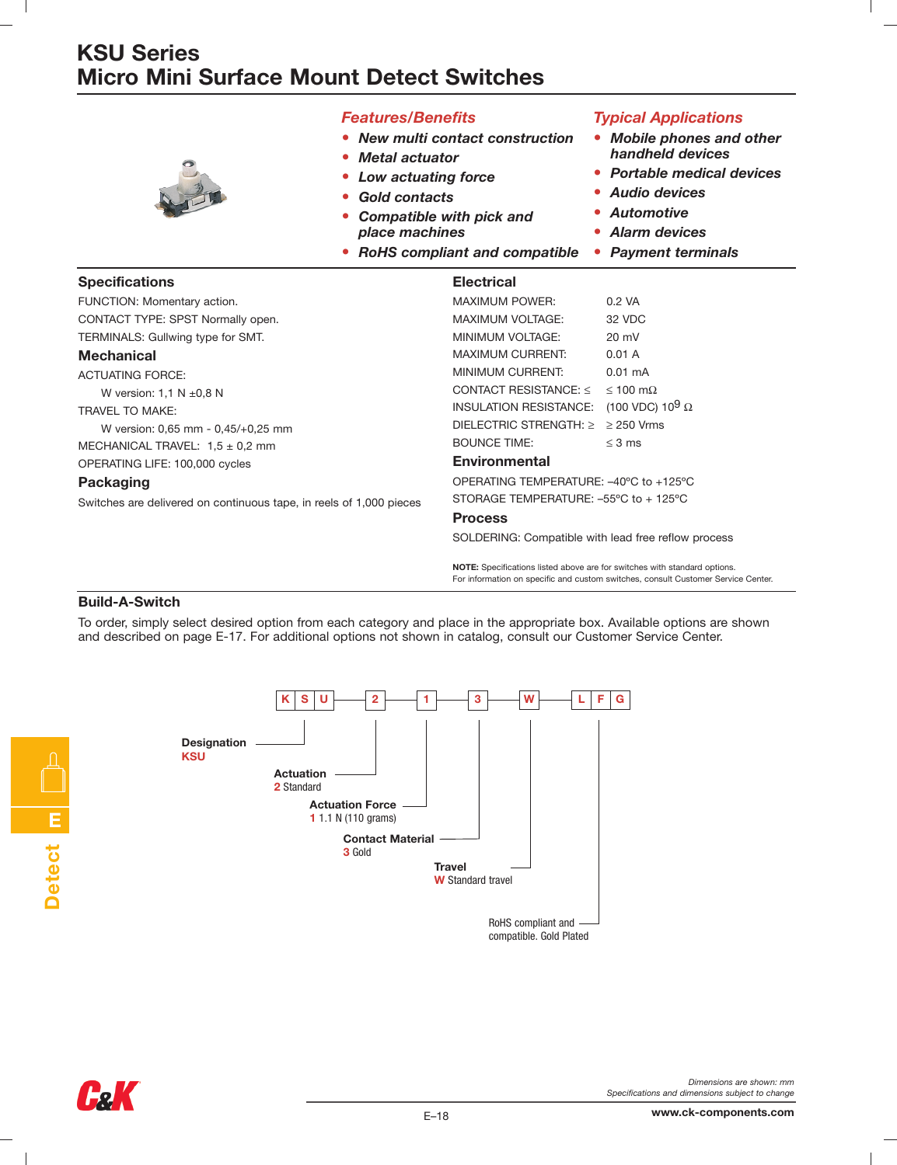# **KSU Series Micro Mini Surface Mount Detect Switches**



### *Features/Benefits*

- *• New multi contact construction*
- *• Metal actuator*
- *• Low actuating force*
- *• Gold contacts*
- *• Compatible with pick and place machines*
- *• RoHS compliant and compatible*

### *Typical Applications*

- *• Mobile phones and other handheld devices*
- *• Portable medical devices*
- *• Audio devices*
- *• Automotive*
- *• Alarm devices*
- *• Payment terminals*

| <b>Specifications</b>                                               | <b>Electrical</b>                                   |                                    |
|---------------------------------------------------------------------|-----------------------------------------------------|------------------------------------|
| FUNCTION: Momentary action.                                         | <b>MAXIMUM POWER:</b>                               | 0.2 VA                             |
| CONTACT TYPE: SPST Normally open.                                   | MAXIMUM VOLTAGE:                                    | 32 VDC                             |
| TERMINALS: Gullwing type for SMT.                                   | MINIMUM VOLTAGE:                                    | $20 \text{ mV}$                    |
| <b>Mechanical</b>                                                   | <b>MAXIMUM CURRENT:</b>                             | 0.01 A                             |
| <b>ACTUATING FORCE:</b>                                             | MINIMUM CURRENT:                                    | $0.01 \text{ mA}$                  |
| W version: $1.1 N \pm 0.8 N$                                        | CONTACT RESISTANCE: $\leq$                          | $\leq 100$ m $\Omega$              |
| TRAVEL TO MAKE:                                                     | INSULATION RESISTANCE:                              | (100 VDC) 10 <sup>9</sup> $\Omega$ |
| W version: 0,65 mm - 0,45/+0,25 mm                                  | DIELECTRIC STRENGTH: $\geq$                         | $\geq$ 250 Vrms                    |
| MECHANICAL TRAVEL: $1.5 \pm 0.2$ mm                                 | <b>BOUNCE TIME:</b>                                 | $\leq$ 3 ms                        |
| OPERATING LIFE: 100,000 cycles                                      | <b>Environmental</b>                                |                                    |
| Packaging                                                           | OPERATING TEMPERATURE: -40°C to +125°C              |                                    |
| Switches are delivered on continuous tape, in reels of 1,000 pieces | STORAGE TEMPERATURE: -55°C to + 125°C               |                                    |
|                                                                     | <b>Process</b>                                      |                                    |
|                                                                     | SOLDERING: Compatible with lead free reflow process |                                    |

**NOTE:** Specifications listed above are for switches with standard options. For information on specific and custom switches, consult Customer Service Center.

#### **Build-A-Switch**

To order, simply select desired option from each category and place in the appropriate box. Available options are shown and described on page E-17. For additional options not shown in catalog, consult our Customer Service Center.





**E**

**Detect**